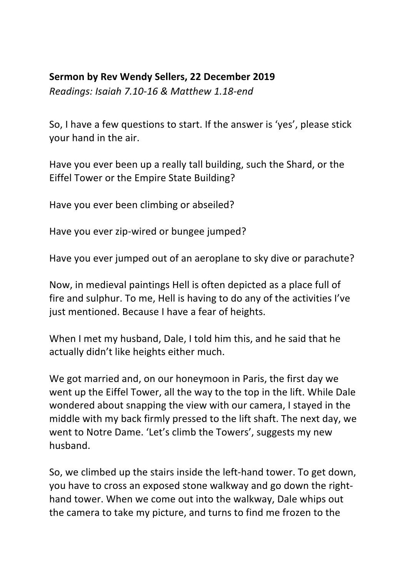## **Sermon by Rev Wendy Sellers, 22 December 2019**

*Readings: Isaiah 7.10-16 & Matthew 1.18-end*

So, I have a few questions to start. If the answer is 'yes', please stick your hand in the air.

Have you ever been up a really tall building, such the Shard, or the Eiffel Tower or the Empire State Building?

Have you ever been climbing or abseiled?

Have you ever zip-wired or bungee jumped?

Have you ever jumped out of an aeroplane to sky dive or parachute?

Now, in medieval paintings Hell is often depicted as a place full of fire and sulphur. To me, Hell is having to do any of the activities I've just mentioned. Because I have a fear of heights.

When I met my husband, Dale, I told him this, and he said that he actually didn't like heights either much.

We got married and, on our honeymoon in Paris, the first day we went up the Eiffel Tower, all the way to the top in the lift. While Dale wondered about snapping the view with our camera, I stayed in the middle with my back firmly pressed to the lift shaft. The next day, we went to Notre Dame. 'Let's climb the Towers', suggests my new husband.

So, we climbed up the stairs inside the left-hand tower. To get down, you have to cross an exposed stone walkway and go down the righthand tower. When we come out into the walkway, Dale whips out the camera to take my picture, and turns to find me frozen to the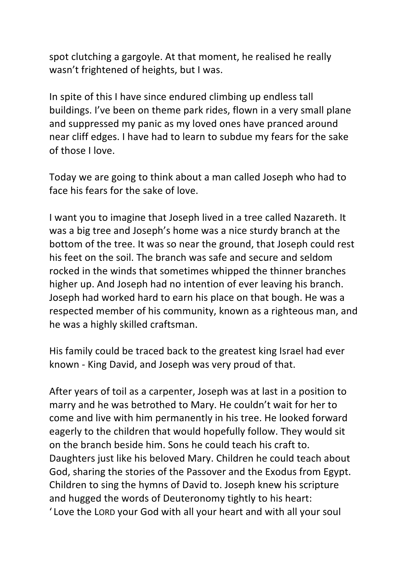spot clutching a gargoyle. At that moment, he realised he really wasn't frightened of heights, but I was.

In spite of this I have since endured climbing up endless tall buildings. I've been on theme park rides, flown in a very small plane and suppressed my panic as my loved ones have pranced around near cliff edges. I have had to learn to subdue my fears for the sake of those I love.

Today we are going to think about a man called Joseph who had to face his fears for the sake of love.

I want you to imagine that Joseph lived in a tree called Nazareth. It was a big tree and Joseph's home was a nice sturdy branch at the bottom of the tree. It was so near the ground, that Joseph could rest his feet on the soil. The branch was safe and secure and seldom rocked in the winds that sometimes whipped the thinner branches higher up. And Joseph had no intention of ever leaving his branch. Joseph had worked hard to earn his place on that bough. He was a respected member of his community, known as a righteous man, and he was a highly skilled craftsman.

His family could be traced back to the greatest king Israel had ever known - King David, and Joseph was very proud of that.

After years of toil as a carpenter, Joseph was at last in a position to marry and he was betrothed to Mary. He couldn't wait for her to come and live with him permanently in his tree. He looked forward eagerly to the children that would hopefully follow. They would sit on the branch beside him. Sons he could teach his craft to. Daughters just like his beloved Mary. Children he could teach about God, sharing the stories of the Passover and the Exodus from Egypt. Children to sing the hymns of David to. Joseph knew his scripture and hugged the words of Deuteronomy tightly to his heart: 'Love the LORD your God with all your heart and with all your soul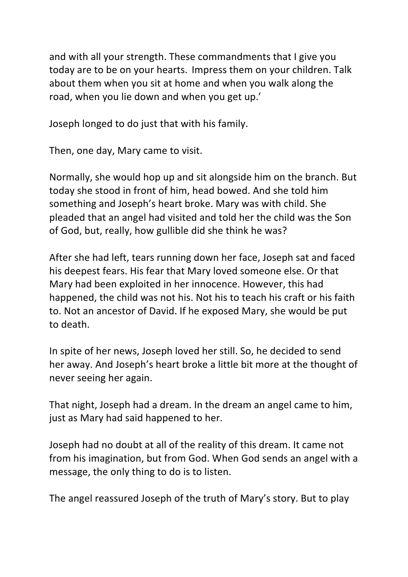and with all your strength. These commandments that I give you today are to be on your hearts. Impress them on your children. Talk about them when you sit at home and when you walk along the road, when you lie down and when you get up.'

Joseph longed to do just that with his family.

Then, one day, Mary came to visit.

Normally, she would hop up and sit alongside him on the branch. But today she stood in front of him, head bowed. And she told him something and Joseph's heart broke. Mary was with child. She pleaded that an angel had visited and told her the child was the Son of God, but, really, how gullible did she think he was?

After she had left, tears running down her face, Joseph sat and faced his deepest fears. His fear that Mary loved someone else. Or that Mary had been exploited in her innocence. However, this had happened, the child was not his. Not his to teach his craft or his faith to. Not an ancestor of David. If he exposed Mary, she would be put to death.

In spite of her news, Joseph loved her still. So, he decided to send her away. And Joseph's heart broke a little bit more at the thought of never seeing her again.

That night, Joseph had a dream. In the dream an angel came to him, just as Mary had said happened to her.

Joseph had no doubt at all of the reality of this dream. It came not from his imagination, but from God. When God sends an angel with a message, the only thing to do is to listen.

The angel reassured Joseph of the truth of Mary's story. But to play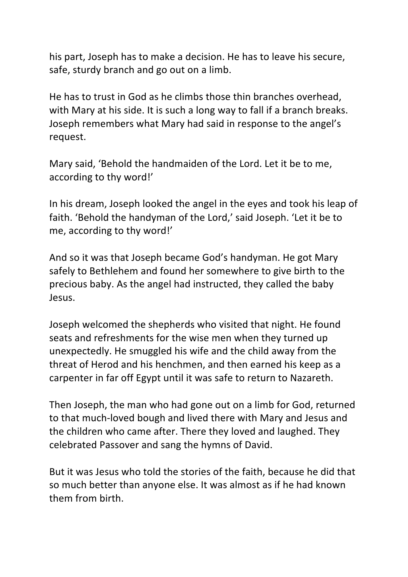his part, Joseph has to make a decision. He has to leave his secure, safe, sturdy branch and go out on a limb.

He has to trust in God as he climbs those thin branches overhead, with Mary at his side. It is such a long way to fall if a branch breaks. Joseph remembers what Mary had said in response to the angel's request. 

Mary said, 'Behold the handmaiden of the Lord. Let it be to me, according to thy word!'

In his dream, Joseph looked the angel in the eyes and took his leap of faith. 'Behold the handyman of the Lord,' said Joseph. 'Let it be to me, according to thy word!'

And so it was that Joseph became God's handyman. He got Mary safely to Bethlehem and found her somewhere to give birth to the precious baby. As the angel had instructed, they called the baby Jesus. 

Joseph welcomed the shepherds who visited that night. He found seats and refreshments for the wise men when they turned up unexpectedly. He smuggled his wife and the child away from the threat of Herod and his henchmen, and then earned his keep as a carpenter in far off Egypt until it was safe to return to Nazareth.

Then Joseph, the man who had gone out on a limb for God, returned to that much-loved bough and lived there with Mary and Jesus and the children who came after. There they loved and laughed. They celebrated Passover and sang the hymns of David. 

But it was Jesus who told the stories of the faith, because he did that so much better than anyone else. It was almost as if he had known them from birth.